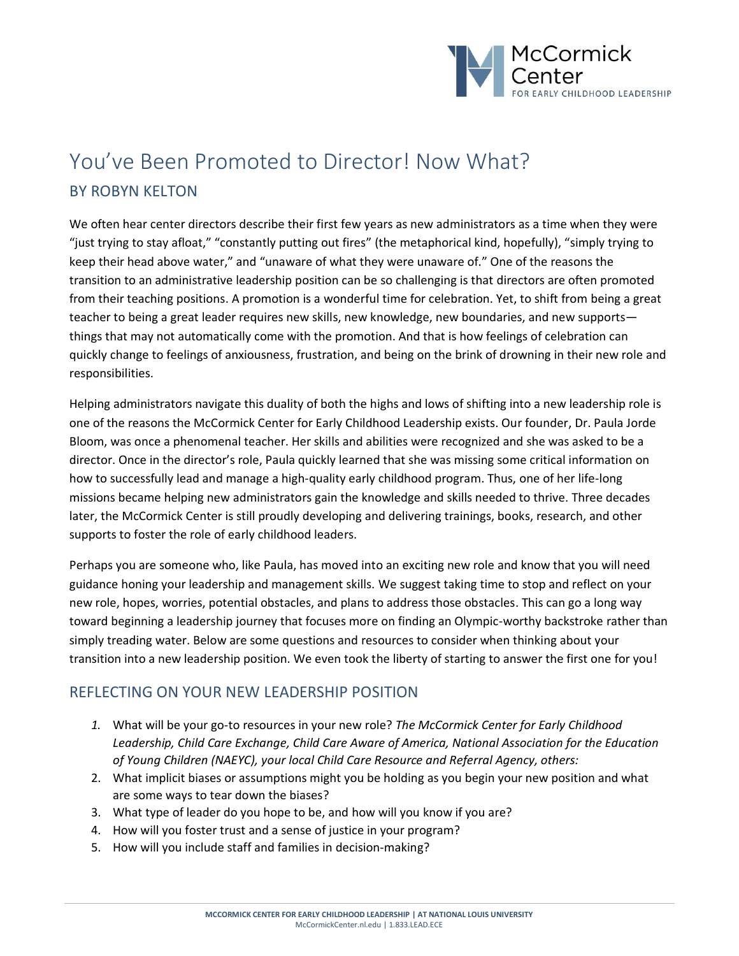

## You've Been Promoted to Director! Now What? BY ROBYN KELTON

We often hear center directors describe their first few years as new administrators as a time when they were "just trying to stay afloat," "constantly putting out fires" (the metaphorical kind, hopefully), "simply trying to keep their head above water," and "unaware of what they were unaware of." One of the reasons the transition to an administrative leadership position can be so challenging is that directors are often promoted from their teaching positions. A promotion is a wonderful time for celebration. Yet, to shift from being a great teacher to being a great leader requires new skills, new knowledge, new boundaries, and new supports things that may not automatically come with the promotion. And that is how feelings of celebration can quickly change to feelings of anxiousness, frustration, and being on the brink of drowning in their new role and responsibilities.

Helping administrators navigate this duality of both the highs and lows of shifting into a new leadership role is one of the reasons the McCormick Center for Early Childhood Leadership exists. Our founder, Dr. Paula Jorde Bloom, was once a phenomenal teacher. Her skills and abilities were recognized and she was asked to be a director. Once in the director's role, Paula quickly learned that she was missing some critical information on how to successfully lead and manage a high-quality early childhood program. Thus, one of her life-long missions became helping new administrators gain the knowledge and skills needed to thrive. Three decades later, the McCormick Center is still proudly developing and delivering trainings, books, research, and other supports to foster the role of early childhood leaders.

Perhaps you are someone who, like Paula, has moved into an exciting new role and know that you will need guidance honing your leadership and management skills. We suggest taking time to stop and reflect on your new role, hopes, worries, potential obstacles, and plans to address those obstacles. This can go a long way toward beginning a leadership journey that focuses more on finding an Olympic-worthy backstroke rather than simply treading water. Below are some questions and resources to consider when thinking about your transition into a new leadership position. We even took the liberty of starting to answer the first one for you!

## REFLECTING ON YOUR NEW LEADERSHIP POSITION

- *1.* What will be your go-to resources in your new role? *The McCormick Center for Early Childhood Leadership, Child Care Exchange, Child Care Aware of America, National Association for the Education of Young Children (NAEYC), your local Child Care Resource and Referral Agency, others:*
- 2. What implicit biases or assumptions might you be holding as you begin your new position and what are some ways to tear down the biases?
- 3. What type of leader do you hope to be, and how will you know if you are?
- 4. How will you foster trust and a sense of justice in your program?
- 5. How will you include staff and families in decision-making?